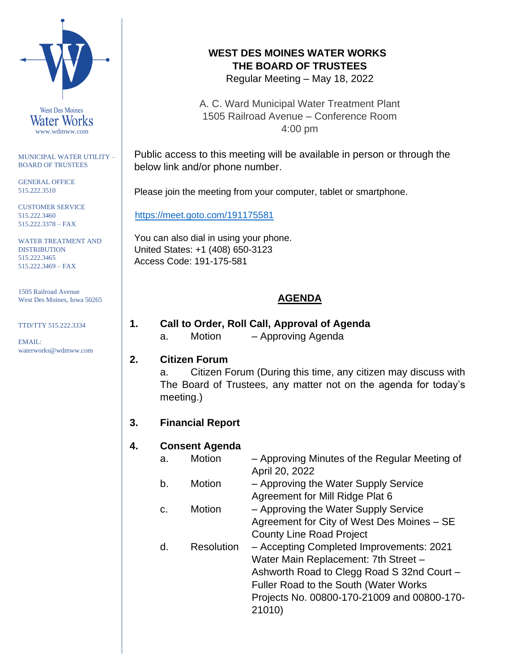

MUNICIPAL WATER UTILITY – BOARD OF TRUSTEES

GENERAL OFFICE 515.222.3510

CUSTOMER SERVICE 515.222.3460 515.222.3378 – FAX

WATER TREATMENT AND DISTRIBUTION 515.222.3465 515.222.3469 – FAX

1505 Railroad Avenue West Des Moines, Iowa 50265

TTD/TTY 515.222.3334

EMAIL: waterworks@wdmww.com

# **WEST DES MOINES WATER WORKS THE BOARD OF TRUSTEES**

Regular Meeting – May 18, 2022

A. C. Ward Municipal Water Treatment Plant 1505 Railroad Avenue – Conference Room 4:00 pm

Public access to this meeting will be available in person or through the below link and/or phone number.

Please join the meeting from your computer, tablet or smartphone.

<https://meet.goto.com/191175581>

You can also dial in using your phone. United States: +1 (408) 650-3123 Access Code: 191-175-581

# **AGENDA**

# **1. Call to Order, Roll Call, Approval of Agenda**

a. Motion – Approving Agenda

### **2. Citizen Forum**

a. Citizen Forum (During this time, any citizen may discuss with The Board of Trustees, any matter not on the agenda for today's meeting.)

### **3. Financial Report**

### **4. Consent Agenda**

| a. | <b>Motion</b>     | - Approving Minutes of the Regular Meeting of |
|----|-------------------|-----------------------------------------------|
|    |                   | April 20, 2022                                |
| b. | Motion            | - Approving the Water Supply Service          |
|    |                   | Agreement for Mill Ridge Plat 6               |
| C. | Motion            | - Approving the Water Supply Service          |
|    |                   | Agreement for City of West Des Moines - SE    |
|    |                   | <b>County Line Road Project</b>               |
| d. | <b>Resolution</b> | - Accepting Completed Improvements: 2021      |
|    |                   | Water Main Replacement: 7th Street -          |
|    |                   | Ashworth Road to Clegg Road S 32nd Court -    |
|    |                   | Fuller Road to the South (Water Works         |
|    |                   | Projects No. 00800-170-21009 and 00800-170-   |
|    |                   | 21010)                                        |
|    |                   |                                               |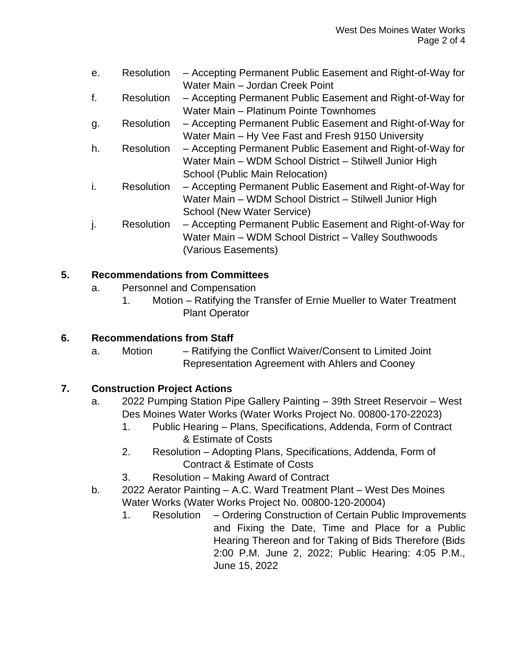| е.  | <b>Resolution</b> | - Accepting Permanent Public Easement and Right-of-Way for |
|-----|-------------------|------------------------------------------------------------|
|     |                   | Water Main - Jordan Creek Point                            |
| f.  | <b>Resolution</b> | - Accepting Permanent Public Easement and Right-of-Way for |
|     |                   | Water Main - Platinum Pointe Townhomes                     |
| g.  | <b>Resolution</b> | - Accepting Permanent Public Easement and Right-of-Way for |
|     |                   | Water Main - Hy Vee Fast and Fresh 9150 University         |
| h.  | <b>Resolution</b> | - Accepting Permanent Public Easement and Right-of-Way for |
|     |                   | Water Main - WDM School District - Stilwell Junior High    |
|     |                   | School (Public Main Relocation)                            |
| -1. | <b>Resolution</b> | - Accepting Permanent Public Easement and Right-of-Way for |
|     |                   | Water Main - WDM School District - Stilwell Junior High    |
|     |                   | School (New Water Service)                                 |
|     | <b>Resolution</b> | - Accepting Permanent Public Easement and Right-of-Way for |
|     |                   | Water Main - WDM School District - Valley Southwoods       |
|     |                   | (Various Easements)                                        |

#### **5. Recommendations from Committees**

- a. Personnel and Compensation
	- 1. Motion Ratifying the Transfer of Ernie Mueller to Water Treatment Plant Operator

#### **6. Recommendations from Staff**

a. Motion – Ratifying the Conflict Waiver/Consent to Limited Joint Representation Agreement with Ahlers and Cooney

#### **7. Construction Project Actions**

- a. 2022 Pumping Station Pipe Gallery Painting 39th Street Reservoir West Des Moines Water Works (Water Works Project No. 00800-170-22023)
	- 1. Public Hearing Plans, Specifications, Addenda, Form of Contract & Estimate of Costs
	- 2. Resolution Adopting Plans, Specifications, Addenda, Form of Contract & Estimate of Costs
	- 3. Resolution Making Award of Contract
- b. 2022 Aerator Painting A.C. Ward Treatment Plant West Des Moines Water Works (Water Works Project No. 00800-120-20004)
	- 1. Resolution Ordering Construction of Certain Public Improvements and Fixing the Date, Time and Place for a Public Hearing Thereon and for Taking of Bids Therefore (Bids 2:00 P.M. June 2, 2022; Public Hearing: 4:05 P.M., June 15, 2022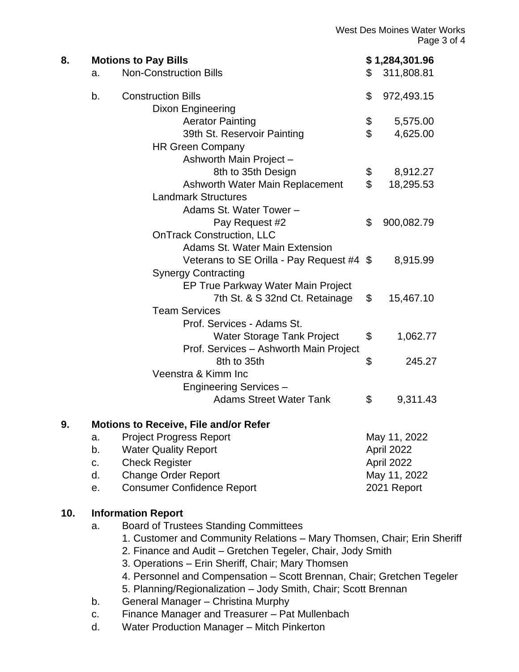|     |                                                                         |                                                  |                | <b>West Des Moines Water Works</b><br>Page 3 of 4 |  |  |
|-----|-------------------------------------------------------------------------|--------------------------------------------------|----------------|---------------------------------------------------|--|--|
| 8.  | <b>Motions to Pay Bills</b>                                             |                                                  |                | \$1,284,301.96                                    |  |  |
|     | a.                                                                      | <b>Non-Construction Bills</b>                    | \$             | 311,808.81                                        |  |  |
|     | b.                                                                      | <b>Construction Bills</b>                        | \$             | 972,493.15                                        |  |  |
|     |                                                                         | Dixon Engineering                                |                |                                                   |  |  |
|     |                                                                         | <b>Aerator Painting</b>                          | \$             | 5,575.00                                          |  |  |
|     |                                                                         | 39th St. Reservoir Painting                      | $\mathfrak{S}$ | 4,625.00                                          |  |  |
|     |                                                                         | <b>HR Green Company</b>                          |                |                                                   |  |  |
|     |                                                                         | Ashworth Main Project -                          |                |                                                   |  |  |
|     |                                                                         | 8th to 35th Design                               | \$             | 8,912.27                                          |  |  |
|     |                                                                         | Ashworth Water Main Replacement                  | $\mathbb S$    | 18,295.53                                         |  |  |
|     |                                                                         | <b>Landmark Structures</b>                       |                |                                                   |  |  |
|     |                                                                         | Adams St. Water Tower -                          |                |                                                   |  |  |
|     |                                                                         | Pay Request #2                                   | \$             | 900,082.79                                        |  |  |
|     |                                                                         | <b>OnTrack Construction, LLC</b>                 |                |                                                   |  |  |
|     |                                                                         | Adams St. Water Main Extension                   |                |                                                   |  |  |
|     |                                                                         | Veterans to SE Orilla - Pay Request #4 \$        |                | 8,915.99                                          |  |  |
|     |                                                                         | <b>Synergy Contracting</b>                       |                |                                                   |  |  |
|     |                                                                         | EP True Parkway Water Main Project               |                |                                                   |  |  |
|     |                                                                         | 7th St. & S 32nd Ct. Retainage                   | $\mathbb{S}$   | 15,467.10                                         |  |  |
|     |                                                                         | <b>Team Services</b>                             |                |                                                   |  |  |
|     |                                                                         | Prof. Services - Adams St.                       |                |                                                   |  |  |
|     |                                                                         | Water Storage Tank Project                       | \$             | 1,062.77                                          |  |  |
|     |                                                                         | Prof. Services - Ashworth Main Project           |                |                                                   |  |  |
|     |                                                                         | 8th to 35th                                      | \$             | 245.27                                            |  |  |
|     |                                                                         | Veenstra & Kimm Inc                              |                |                                                   |  |  |
|     |                                                                         | <b>Engineering Services -</b>                    |                |                                                   |  |  |
|     |                                                                         | <b>Adams Street Water Tank</b>                   | \$             | 9,311.43                                          |  |  |
| 9.  |                                                                         | <b>Motions to Receive, File and/or Refer</b>     |                |                                                   |  |  |
|     | a.                                                                      | <b>Project Progress Report</b>                   |                | May 11, 2022                                      |  |  |
|     | b.                                                                      | <b>Water Quality Report</b>                      |                | April 2022                                        |  |  |
|     | C.                                                                      | <b>Check Register</b>                            |                | April 2022                                        |  |  |
|     | d.                                                                      | <b>Change Order Report</b>                       |                | May 11, 2022                                      |  |  |
|     | е.                                                                      | <b>Consumer Confidence Report</b><br>2021 Report |                |                                                   |  |  |
| 10. | <b>Information Report</b>                                               |                                                  |                |                                                   |  |  |
|     | a.                                                                      | <b>Board of Trustees Standing Committees</b>     |                |                                                   |  |  |
|     | 1. Customer and Community Relations - Mary Thomsen, Chair; Erin Sheriff |                                                  |                |                                                   |  |  |

- 2. Finance and Audit Gretchen Tegeler, Chair, Jody Smith
- 3. Operations Erin Sheriff, Chair; Mary Thomsen
- 4. Personnel and Compensation Scott Brennan, Chair; Gretchen Tegeler
- 5. Planning/Regionalization Jody Smith, Chair; Scott Brennan
- b. General Manager Christina Murphy
- c. Finance Manager and Treasurer Pat Mullenbach
- d. Water Production Manager Mitch Pinkerton